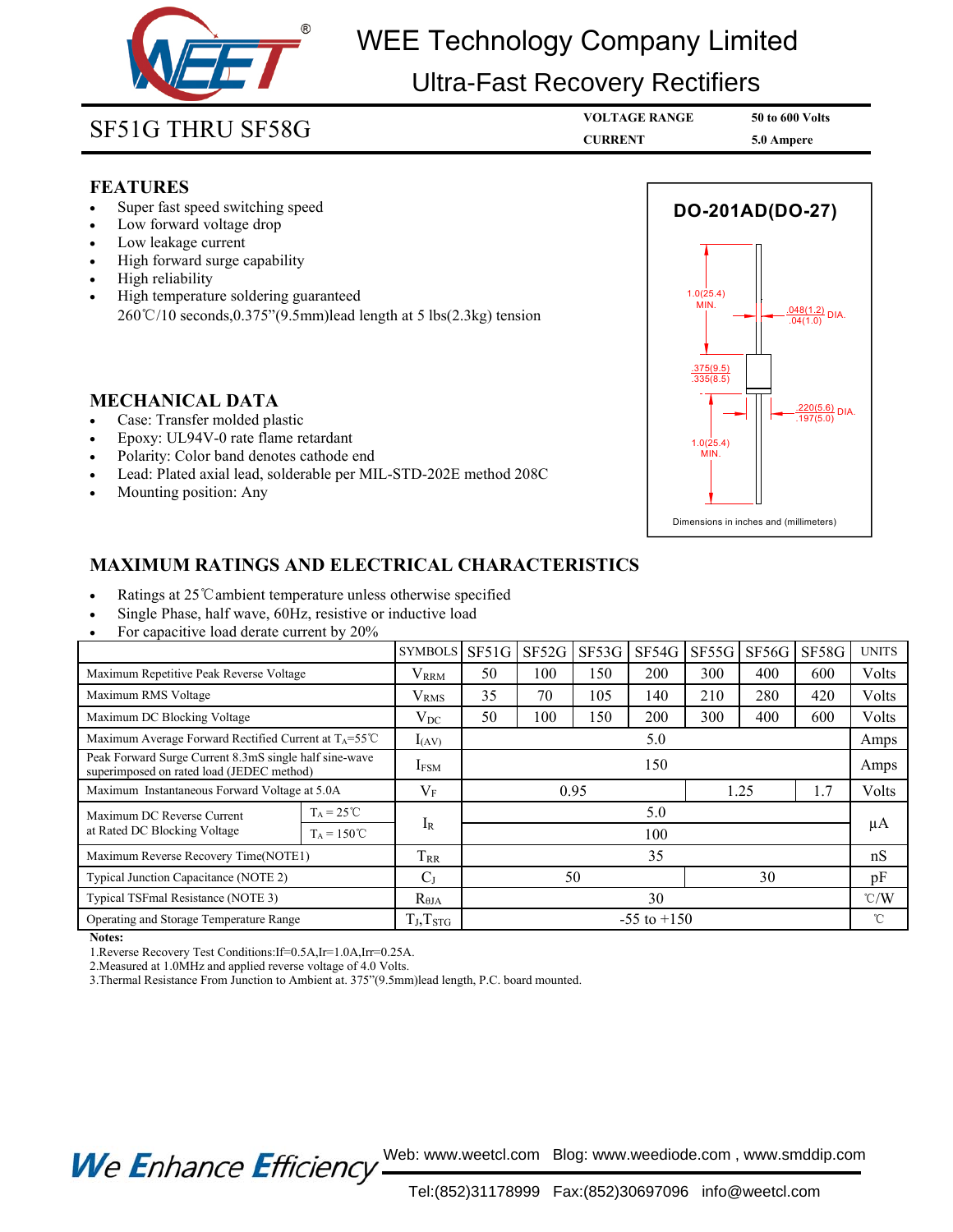

# WEE Technology Company Limited

## Ultra-Fast Recovery Rectifiers

- **FEATURES**<br>• Super fast speed switching speed
- 
- 
- 
- 
- **SF51G THRU SF58G**<br> **ELATURES**<br>
 Super fast speed switching speed<br>
 Low forward voltage drop<br>
 Low leakage current<br>
 High forward surge capability<br>
 High reliability<br>
 High reliability<br>
 High temperature soldering g **SF51G THRU SF58G**<br>
• Super fast speed switching speed<br>
• Low forward voltage drop<br>
• Low leakage current<br>
• High forward surge capability<br>
• High reliability<br>
• High remperature soldering guaranteed<br>
260°C/10 seconds,0.37 • Super fast speed switching speed<br>• Low forward voltage drop<br>• Low leakage current<br>• High forward surge capability<br>• High reliability<br>• High temperature soldering guaranteed<br>260℃/10 seconds,0.375"(9.5mm)lead length at 5 • Super last speed switching speed<br>• Low forward voltage drop<br>• Eugh forward surge capability<br>• High reliability<br>• High remperature soldering guaranteed<br>260℃/10 seconds,0.375"(9.5mm)lead length at 5 lbs(2.3kg) tension<br>260 • High reliability<br>• High reliability<br>• High temperature soldering guaranteed<br>260°C/10 seconds,0.375″(9.5mm)lead length at 5 lbs(2.3kg<br>• Case: Transfer molded plastic<br>• Epoxy: UL94V-0 rate flame retardant<br>• Polarity: Color

- 
- 
- 
- 
- 



- 
- 
- 

| <b>MECHANICAL DATA</b><br>Case: Transfer molded plastic<br>Epoxy: UL94V-0 rate flame retardant<br>$\bullet$<br>Polarity: Color band denotes cathode end<br>$\bullet$<br>Lead: Plated axial lead, solderable per MIL-STD-202E method 208C<br>$\bullet$<br>Mounting position: Any |                      |                         |                 |               |       |       | .375(9.5)<br>.335(8.5)<br>$.220(5.6)$ DIA.<br>.197(5.0)<br>1.0(25.4)<br>MIN.<br>Dimensions in inches and (millimeters) |       |               |              |
|---------------------------------------------------------------------------------------------------------------------------------------------------------------------------------------------------------------------------------------------------------------------------------|----------------------|-------------------------|-----------------|---------------|-------|-------|------------------------------------------------------------------------------------------------------------------------|-------|---------------|--------------|
| <b>MAXIMUM RATINGS AND ELECTRICAL CHARACTERISTICS</b>                                                                                                                                                                                                                           |                      |                         |                 |               |       |       |                                                                                                                        |       |               |              |
| Ratings at 25 °C ambient temperature unless otherwise specified<br>Single Phase, half wave, 60Hz, resistive or inductive load<br>For capacitive load derate current by 20%                                                                                                      |                      |                         |                 |               |       |       |                                                                                                                        |       |               |              |
|                                                                                                                                                                                                                                                                                 |                      | <b>SYMBOLS</b>          |                 | $SF51G$ SF52G | SF53G | SF54G | SF55G                                                                                                                  | SF56G | SF58G         | <b>UNITS</b> |
| Maximum Repetitive Peak Reverse Voltage                                                                                                                                                                                                                                         |                      | <b>V</b> <sub>RRM</sub> | 50              | 100           | 150   | 200   | 300                                                                                                                    | 400   | 600           | Volts        |
| Maximum RMS Voltage                                                                                                                                                                                                                                                             |                      | <b>V</b> <sub>RMS</sub> | 35              | 70            | 105   | 140   | 210                                                                                                                    | 280   | 420           | Volts        |
| Maximum DC Blocking Voltage                                                                                                                                                                                                                                                     |                      | $V_{DC}$                | 50              | 100           | 150   | 200   | 300                                                                                                                    | 400   | 600           | Volts        |
| Maximum Average Forward Rectified Current at T <sub>A</sub> =55°C                                                                                                                                                                                                               |                      | $I_{(AV)}$              | 5.0             |               |       |       |                                                                                                                        |       |               | Amps         |
| Peak Forward Surge Current 8.3mS single half sine-wave<br>superimposed on rated load (JEDEC method)                                                                                                                                                                             |                      | <b>IFSM</b>             | 150             |               |       |       |                                                                                                                        |       | Amps          |              |
| Maximum Instantaneous Forward Voltage at 5.0A                                                                                                                                                                                                                                   |                      | $V_F$                   | 0.95<br>1.25    |               |       |       |                                                                                                                        | 1.7   | Volts         |              |
| Maximum DC Reverse Current<br>at Rated DC Blocking Voltage                                                                                                                                                                                                                      | $T_A = 25^{\circ}C$  |                         |                 |               |       | 5.0   |                                                                                                                        |       |               | μA           |
|                                                                                                                                                                                                                                                                                 | $T_A = 150^{\circ}C$ | $I_R$                   |                 | 100           |       |       |                                                                                                                        |       |               |              |
| Maximum Reverse Recovery Time(NOTE1)                                                                                                                                                                                                                                            |                      | T <sub>RR</sub>         | 35              |               |       |       |                                                                                                                        |       |               | nS           |
| Typical Junction Capacitance (NOTE 2)                                                                                                                                                                                                                                           |                      | C <sub>J</sub>          | 50              |               |       |       | 30                                                                                                                     |       |               | pF           |
| Typical TSFmal Resistance (NOTE 3)                                                                                                                                                                                                                                              |                      | $R_{\theta JA}$         | 30              |               |       |       |                                                                                                                        |       | $\degree$ C/W |              |
| Operating and Storage Temperature Range                                                                                                                                                                                                                                         |                      | $T_J, T_{STG}$          | $-55$ to $+150$ |               |       |       |                                                                                                                        |       |               | $^{\circ}$ C |
| Notes:<br>1. Reverse Recovery Test Conditions: If=0.5A, Ir=1.0A, Irr=0.25A.<br>2. Measured at 1.0 MHz and applied reverse voltage of 4.0 Volts.<br>3. Thermal Resistance From Junction to Ambient at. 375"(9.5mm)lead length, P.C. board mounted.                               |                      |                         |                 |               |       |       |                                                                                                                        |       |               |              |

Experies Recovery Test Cond<br>
2.Measured at 1.0MHz and app<br>
3.Thermal Resistance From Jun<br>
2.Mean Resistance From Jun<br>
2. Thermal Resistance From Jun<br>
2. Thermal Resistance From Jun<br>
2. The Mance

Web: www.weetcl.com Blog: www.weediode.com , www.smddip.com